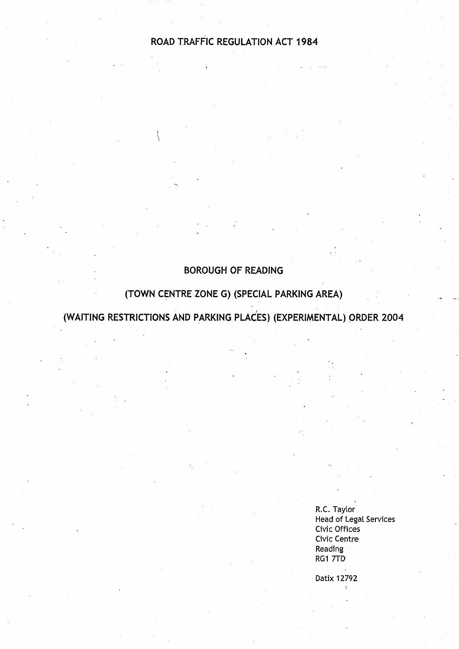# **ROAD TRAFFIC REGULATION ACT 1984**

# **BOROUGH OF READING**

# **(TOWN CENTRE ZONE G**) (**SPECIAL PARKING AREA )**

**(WAITING RESTRICTIONS AND PARKING PLACES** ) (**EXPERIMENTAL** ) **ORDER 2004**

**R.C. Taylor. Head of Legal Services Civic Offices Civic Centre Reading RG 1 7TD**

**Datix 12792**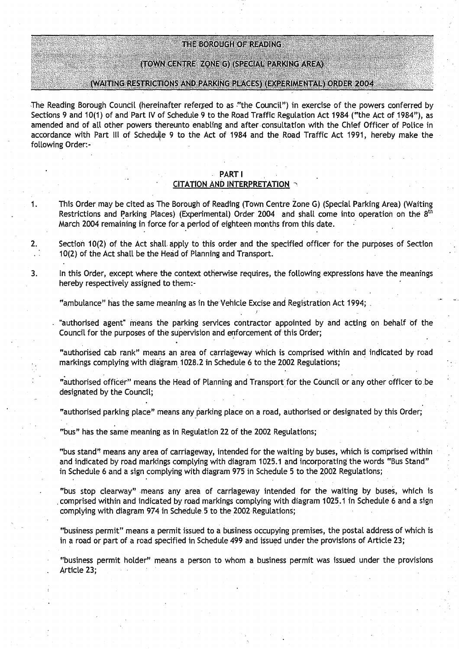# THE BOROUGH OF READING

#### (TOWN CENTRE ZONE G) (SPECIAL PARKING AREA)

#### (WAITING RESTRICTIONS AND PARKING PLACES) (EXPERIMENTAL) ORDER 2004

The Reading Borough Council (hereinafter referred to as "the Council") in exercise of the powers conferred by **Sections 9 and 10(1) of and Part IV of Schedule 9 to the Road Traffic Regulation Act 1984** ("**the Act of 1984"), as amended and of all other powers thereunto enabling and after consultation with the Chief Officer of Police in** accordance with Part III of Schedule 9 to the Act of 1984 and the Road Traffic Act 1991, hereby make the **following Order :-**

#### **PART** I

#### **CITATION AND INTERPRETATION**

- **<sup>1</sup> . This Order**, **may be cited as The Borough of Reading** (Town,**Centre Zone G) (Special Parking Area** ) (**Waiting Restrictions and Parking Places** ) (**Experimental** ) **Order 2004 and shall come into operation on the 8th March 2004 remaining in force fora period of eighteen months from this date.**
- 2. Section 10(2) of the Act shall apply to this order and the specified officer for the purposes of Section **10(2) of the Act shall be the Head of Planning and Transport .**
- **<sup>3</sup> . In this Order**, **except where the context otherwise requires, the** following **expressions have the meanings hereby respectively assigned to them :-**

**"ambulance**" **has the same meaning as in the Vehicle Excise and Registration Act 1994;**

**"authorised agent**" **means the parking se**rv**ices contractor appointed by and acting on behalf of the** Council for the purposes of the supervision and enforcement of this Order;

"authorised cab rank" means an area of carriageway which is comprised within and indicated by road **markings complying with diagram 1028.2 in Schedule 6 to the 2002 Regulations;**

**"autho**ri**sed officer" means the Head of Planning and Transport for the Council or any other officer to .be designated by the Council;**

**"autho**ri**sed parking place" means any parking place on a road, authorised or designated by this Order ;**

**"bus" has the same meaning as in Regulation 22 of the 2002 Regulations ;**

**"bus stand** " **means any area of carriageway**, **intended for the waiting by buses, which is comprised within and indicated by road markings complying with diagram 1025** . **1 and incorporating the words "Bus** Stand" **in Schedule 6 and a sign complying with diagram 975 in Schedule 5 to the 2002 Regulations;**

**"bus stop clearway**" **means any area of carriageway intended for the waiting by buses, which is comprised within and indicated by road markings complying with diagram 1025** . **1 in Schedule 6 and a sign complying with diagram 974 in Schedule** . **5 to the 2002 Regulations;**

**"business permit" means a permit issued to a business occupying premises, the postal address of which is** in a road or part of a road specified in Schedule 499 and issued under the provisions of Article 23;

**"business permit holder" means a person to whom a business permit was issued under the provisions Article 23;**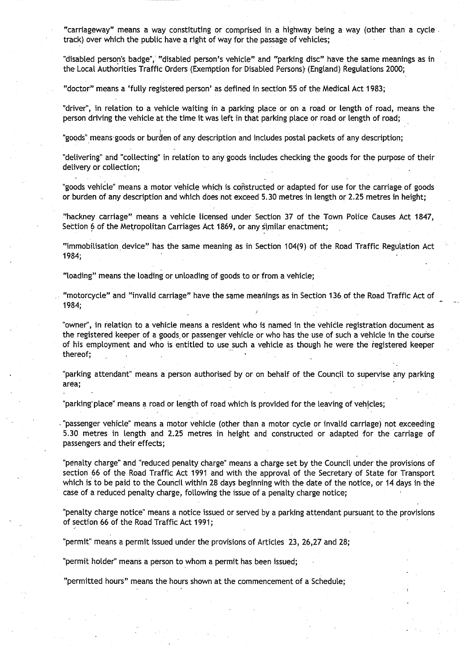"carriageway" **means** a way constituting or comprised in a highway being a way (other than a cycle track) over which the public have a right of way for the passage of vehicles;

"disabled person'**s** badge", **"disabled** person's vehicle" and "parking disc" have the **same meanings as in** the Local Authorities Traffic Orders (Exemption for Disabled Persons) (England) Regulations 2000;

"doctor" means a 'fully registered person' as defined in section 55 of the Medical Act 1983;

"driver", in relation to a vehicle waiting in a parking place or on a road or length of road, means the person driving the vehicle at the time it was left in that parking place or road or length of road;

"goods" means goods or burden of any description and includes postal packets of any description;

"delivering" and "collecting" in relation to any goods includes checking the goods for the purpose of their delivery or collection;

"goods vehicle" **means a motor** vehicle which is constructed or adapted for use for the carriage of goods or burden of any description and which does not exceed 5.30 metres in length or 2.25 metres in height;

"hackney carriage" **means** a vehicle licensed under Section 37 of the Town Police Causes Act 1847, Section 6 of the Metropolitan Carriages Act 1869, or any similar enactment;

"immobilisation device" has the same meaning as in Section 104(9) of the Road Traffic Regulation Act 1984;

"loading" means the loading or unloading of goods to or from a vehicle;

"motorcycle" and "invalid carriage" have the same **meanings as** in Section 136 . of the Road Traffic Act of 1984;

"owner", in relation to a vehicle means a resident who is named in the Vehicle registration document as the registered keeper of a goods or passenger vehicle or who has the use of such a vehicle in the course of his employment and who is entitled to use such a vehicle as though he were the registered keeper thereof;

"parking attendant" means a person authorised' by or on behalf of the Council to supervise any parking **area;**

"parking place" means a road or length of road which is provided for the leaving of vehicles;

"passenger vehicle" means a motor vehicle (other than a motor cycle or invalid carriage) not exceeding <sup>5</sup> .30 metres in length and 2.25 metres in height and constructed or adapted for the carriage of passengers and their effects;

"penalty charge" and "reduced penalty charge" means a charge set by the Council under the provisions of section 66 of the Road Traffic Act 1991 and with the approval of the Secretary of State for Transport which is to be paid to the Council within 28 days beginning with the date of the notice, or 14 days in the case of a reduced penalty charge, following the issue of a penalty charge notice;

"penalty charge notice" **means a notice** issued or served by a parking attendant pursuant to the provisions of section 66 of the Road Traffic Act 1991;

"permit" means a permit issued under the provisions of Articles 23, 26,27 and 28;

"permit holder" means a person to whom a permit has been issued;

"permitted hours" means the hours. shown at the commencement of a Schedule ;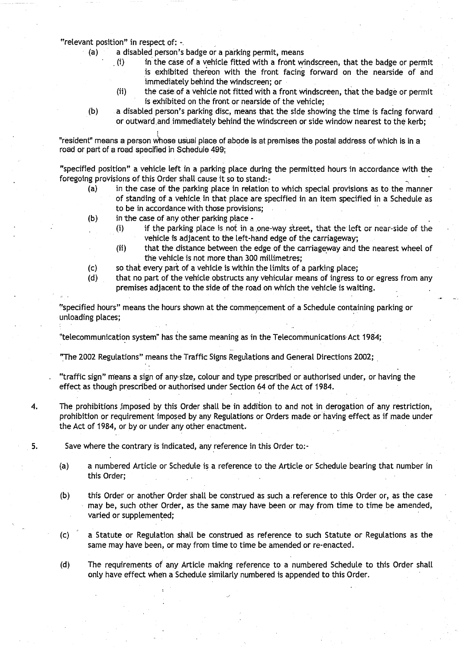**"relevant position**" **in respect of:**

**(a) a disabled person's badge or a parking permit, means**

- **(i.) in' the case of a vehicle fitted with a front windscreen** , **that the badge or permit is exhibited thereon with the front facing forward on the nearside of and immediately behind the windscreen; or**
- **(ii) the case**, **of a vehicle not fitted with a front windscreen** , **that the badge or permit** is exhibited on the front or nearside of the vehicle;
- **(b) a disabled person's parking disc, means that the side showing the time is facing forward** or outward and immediately behind the windscreen or side window nearest to the kerb;

**"resident" means a person whose usual place of abode is at premises the postal address of which is in a road or part of a road specified in Schedule 499 ;**

**"specified position" a vehicle left in a parking place during the permitted hours in accordance with the foregoing provisions of this Order shall cause it so to stand :-**

- **(a) in the case of the parking place in relation to which special provisions as to the manner of standing of a vehicle**. **in that place are specified in an item specified in a Schedule as to be in accordance with those provisions;**
- **(b) in the case of any other parking place -**
	- (i) if the parking place is not in a one-way street, that the left or near-side of the **vehicle is adjacent to the left-hand edge of the carriageway ;**
	- **(ii) that the distance between the edge of the carriageway and the nearest wheel of the vehicle is not more than 300 millimetres;**
- **(c) so that eve**ry **part of a vehicle is within the limits of a parking place;**
- **(d) that no part of the vehicle obstructs any vehicular means of ingress to or egress from any premises adjacent to the side of the road on which the vehicle is waiting .**

**"specified hours**" **means the hours shown at the commencement of a Schedule containing parking or unloading places ;**

**"telecommunication system** " **has the same meaning as in the** Telecommunications- Act **1984;**

**"The 2002 Regulations" means** the Traffic **Signs Regulations and General Directions 2002;**

**"traffic sign" means a sign of anyysize** , **colour and type prescribed or authorised under, or having the effect as though prescribed or authorised under Section 64 of the Act of 1984 .**

**4. The prohibitions imposed by this Order shall be in addition to and not in derogation of any restriction, prohibition or requirement imposed by any Regulations or Orders made or having effect as if made under the Act of 1984, or by or under any other enactment .**

- **5. Save where the contra**ry **is indicated**, **any reference in this Order to:-**
	- **(a) a numbered Article or Schedule is a reference to the Article or Schedule bearing that number in this Order ;**
	- **(b) this Order or another Order shall be construed as such a** . **reference to this Order or, as the case may be** , **such other Order, as the same may have been or may from time to time be amended, varied or supplemented;**
	- **(c) a Statute or Regulation shall be construed as reference to such Statute or Regulations as the same may have been, or may from time to time be amended or re-enacted .**
	- **(d) The requirements of any Article making reference to a numbered Schedule to this Order shall only have effect when a Schedule similarly numbered is appended to this Order .**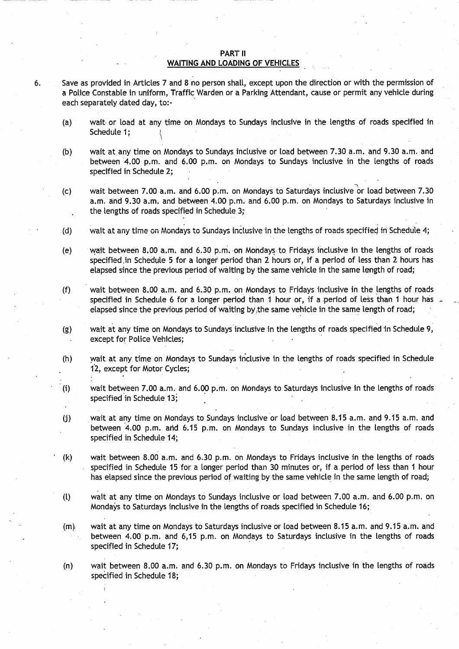#### PART II WAITING AND LOADING OF VEHICLES

- <sup>6</sup> . Save as provided in Articles 7 and 8 no person shall, except upon the direction or with the permission of a Police Constable in uniform, Traffic Warden or a Parking Attendant, cause or permit any vehicle during each separately dated day, to:-
	- (a) wait. or load at any time on Mondays to Sundays inclusive in the lengths of roads specified in Schedule 1;
	- (b) wait at any time on Mondays to Sundays inclusive or load between 7.30 a.m. and 9.30 a.m. and between 4.00 p.m. and 6.00 p.m. on Mondays to Sundays inclusive in the lengths of roads specified in Schedule 2;
	- (c) wait between 7.00 a.m. and 6.00 p.m. on Mondays to Saturdays inclusive or load between 7.30 **a.m. and 9** . **30 a.m. and** between 4.00 p.m . and 6 .00 p .m . on Mondays to Saturdays inclusive in the lengths of roads specified in Schedule 3;
	- (d) vait at any time on Mondays to Sundays inclusive in the lengths of roads specified in Schedule 4;
	- (e) wait between **<sup>8</sup> .00 a .m . and** 6.30 p.m. on Mondays to Fridays inclusive in the lengths of roads specified .in Schedule 5 for a longer period than 2 hours or, if a period of less than 2 hours has elapsed since the previous period of waiting by the same vehicle in the same length of road;
	- (f) wait between **8.00 a .m . and** 6.30 p.m. on Mondays to Fridays inclusive in the lengths of roads specified in Schedule 6 for a longer period than 1 hour or, if a period of less than 1 hour has elapsed since the previous period of waiting by, the same vehicle in the same length of road;
	- (g) wait at any time on Mondays to Sundays inclusive in the lengths of roads specified in Schedule 9, except for Police Vehicles;
	- (h) wait at any. time on Mondays to Sundays inclusive in the lengths of roads specified in Schedule 12, except for Motor Cycles;
	- (i) wait between 7.00 a.m. and 6.00 p.m. on Mondays to Saturdays inclusive in the lengths of roads specified in Schedule 13;
	- (j) .wait at any time on Mondays to Sundays inclusive or load between **8.15 a .m . and 9** .15 a .m . and between 4.00 p.m. and 6.15 p.m. on Mondays to Sundays inclusive in the lengths of roads specified in Schedule 14;
	- (k) wait between 8.00 a .m . and 6.30 p.m. on Mondays to Fridays inclusive in the lengths of roads specified in Schedule 15 for a longer period than 30 minutes or, if a period of less than 1 hour has elapsed since the previous period of waiting by the same vehicle in the **same** length of road;
	- (t) wait at any time on Mondays to Sundays inclusive or load between 7.00 a .m . and 6 .00 p.m. on Mondays to Saturdays inclusive in the lengths of roads specified in Schedule 16;
	- $(m)$  wait at any time on Mondays to Saturdays inclusive or load between 8.15 a.m. and 9.15 a.m. and between 4.00 p.m. and 6,15 p.m. on Mondays to Saturdays inclusive in the lengths of roads specified in Schedule 17;
	- (n) wait between 8 .00 a.m. and 6 .30 p.m . on Mondays to Fridays inclusive in the lengths of roads specified in Schedule 18;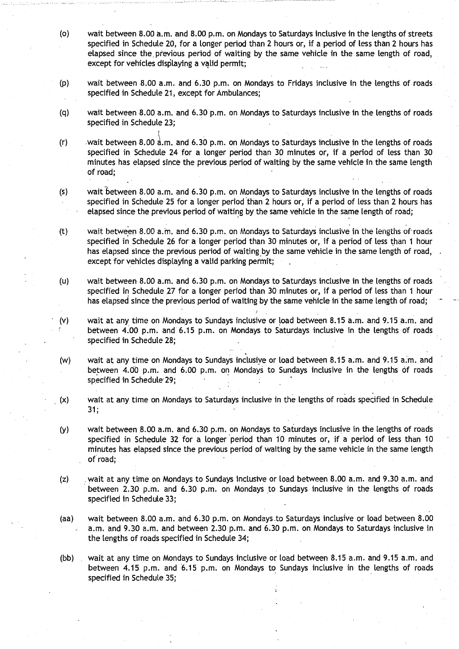- (o) wait between 8 .00 a.m. and 8.00 p.m. on Mondays to Saturdays inclusive in the lengths of streets specified in Schedule 20, for a longer period than 2 hours or, if a period of less than 2 hours has elapsed since the previous period of waiting by the same vehicle in the same length of road, except for vehicles displaying a valid permit;
- (p) wait between 8.00 a.m. and 6.30 p.m. on Mondays to Fridays inclusive in the lengths of roads specified in Schedule 21, except for Ambulances;
- (q) wait between 8.00 a.m. and 6.30 p.m. on Mondays to Saturdays inclusive in the lengths of roads specified in Schedule 23;
- (r) wait between 8.00  $\frac{1}{4}$ .m. and 6.30 p.m. on Mondays to Saturdays inclusive in the lengths of roads specified in Schedule 24 for a longer period than 30 minutes or, if a period of less than 30 minutes has elapsed since the previous period of waiting by the same vehicle in the same length of road;
- (s) wait between 8.00 a.m. and 6.30 p.m. on Mondays to Saturdays inclusive in the lengths of roads specified in Schedule 25 for a longer period than 2 hours or, if a period of less than 2 hours has elapsed since the previous period of waiting by the same vehicle in the same length of road;
- (t) wait between 8.00 a.m. and 6.30 p.m. on Mondays to Saturdays inclusive in the lengths of roads specified in Schedule 26 for a longer period than 30 minutes or, if a period of less than 1 hour has elapsed since the previous period of waiting by the same vehicle in the same length of road, except for vehicles displaying a valid parking permit;
- (u) wait between 8.00 a .m. and 6.30 p.m. on Mondays to Saturdays inclusive in the lengths of roads specified in Schedule 27 for a longer period than 30 minutes or, if a period of less than 1 hour has elapsed since the previous period of waiting by the same vehicle in the same length of road;
- (v) wait at any time on Mondays to Sundays inclusive or load between 8 .15 a.m . and 9.15 a .m . and between 4.00 p.m. and 6.15 p.m. on Mondays to Saturdays inclusive in the lengths of roads specified in Schedule 28;
- (w) wait at any time on Mondays to Sundays inclusive or load between 8 .15 a.m. and 9.15 a,m . and between 4.00 p.m. and 6.00 p.m. on Mondays to Sundays inclusive in the lengths of roads specified in Schedule 29;
- (x) wait at any time on Mondays to Saturdays inclusive in the lengths of roads specified in Schedule  $31:$ .
- (y) wait between 8.00 a.m. and 6.30 p.m. on Mondays to Saturdays inclusive in the lengths of roads specified in Schedule 32 for a longer period than 10 minutes or, if a period of less than 10 minutes has elapsed since the previous period of waiting by the same vehicle in the same length of road.;
- (z) . wait at any time on Mondays to Sundays inclusive or load between 8.00 a.m. and 9.30 a.m. and between 2.30 p.m. and 6.30 p.m. on Mondays to Sundays inclusive in the lengths of roads specified in Schedule 33;
- (aa) wait between 8.00 a.m. and 6.30 p.m. on Mondays to Saturdays inclusive or load between 8.00 a.m. and 9.30 a.m. and between 2.30 p.m. and 6.30 p.m. on Mondays to Saturdays inclusive in the lengths of roads specified in Schedule 34;
- (bb) . wait at any time on Mondays to Sundays inclusive or load between 8 .15 a.m. and 9.15 a .m . and between 4.15 p.m. and 6.15 p.m. on Mondays to Sundays inclusive in the lengths of roads specified in Schedule 35;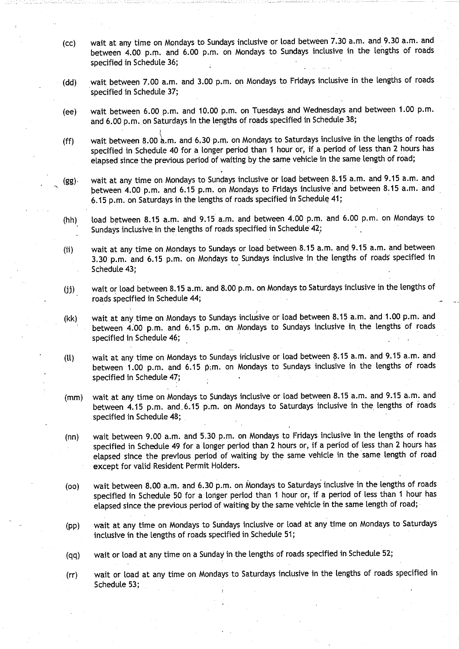- **(cc) wait at any time on Mondays to Sundays inclusive or load between 7.30 a .m. and 9.30 a.m. and between 4.00 p.m . and 6.00 p .m . on Mondays to Sundays inclusive in the lengths of roads specified in Schedule 36;**
- (dd) wait between 7.00 a.m. and 3 .00 p.m. on Mondays to Fridays inclusive in the lengths of roads specified in Schedule 37;
- (ee) wait between 6.00 p.m. and 10.00 p.m. on Tuesdays and Wednesdays and between 1.00 p.m. **and 6**.**00 p.m.** . **on Saturdays in the lengths of roads specified in Schedule 38;**
- (ff) wait between 8.00'a.m. and 6 .30 p.m. on Mondays to Saturdays inclusive in the lengths of roads **specified in Schedule 40 for a longer period than 1 hour or, if a period of less than 2 hours has elapsed since the previous period of waiting by the same vehicle in the same length of road ;**
- **(gg)• wait at any time on Mondays to Sundays inclusive or load between 8 .15 a .m . and 9 .15 a .m . and between 4**.**00 pm. and 6 .15 p.m . on Mondays to Fridays inclusive and between 8 .15 a.m. and 6.15 p**.**m. on Saturdays in the lengths of roads specified in Schedule 41 ;**
- $(hh)$  load between 8.15 a.m. and 9.15 a.m. and between 4.00 p.m. and 6.00 p.m. on Mondays to Sundays inclusive in the lengths of roads specified in Schedule 42;
- (ii) wait at any time on Mondays to Sundays or load between **8.15 a.m. and 9**. **15 a.m . and** between 3.30 p.m. and 6.15 p.m. on Mondays to Sundays inclusive in the lengths of roads specified in Schedule 43;
- (jj) wait or load between 8 .15 a.m-. and 8.00 p.m. on Mondays to Saturdays inclusive in the lengths of roads specified in Schedule 44 ;
- (kk) wait at any time on Mondays to Sundays inclusive or load between 8.15 a.m. and 1.00 p.m. and between 4.00 p.m. and 6.15 p.m. on Mondays to Sundays inclusive in the lengths of roads specified in Schedule 46;
- (LL) **wait at any time on Mondays to Sundays inclusive or load between 8 .15 a..m. and 9..15 a .m . and** between 1.00 p.m. and 6.15 p.m. on Mondays to Sundays inclusive in the lengths of roads specified in Schedule 47;
- (mm) wait at any time on Mondays to Sundays inclusive or load between 8.15 a.m. and 9.15 a.m. and between 4.15 p.m. and 6.15 p.m. on Mondays to Saturdays inclusive in the lengths of roads specified in Schedule 48;
- (nn) wait between 9 .00 a .m . and 5 .30 p.m. on Mondays to Fridays inclusive in the lengths of roads specified in Schedule 49 for a longer period than 2 hours or, if a period of less than 2 hours has elapsed since the previous period of waiting by the same vehicle in the same length of road except for valid Resident Permit Holders.
- (oo) wait between **8.00 a.m. and** 6.30 p .m. on Mondays to Saturdays inclusive in the lengths of roads specified in Schedule 50 for a longer period than 1 hour or, if a period of less than 1 hour has elapsed since the previous period of waiting by the same vehicle in the same length of road;
- (pp) wait at any time on Mondays to Sundays inclusive or toad at any time on Mondays to Saturdays inclusive in the lengths of roads specified in Schedule 51;
- (qq) wait or load at any time on a Sunday in the lengths of roads specified in Schedule 52;
- (rr) wait or load at any time on Mondays to Saturdays inclusive in the lengths of roads specified in Schedule 53;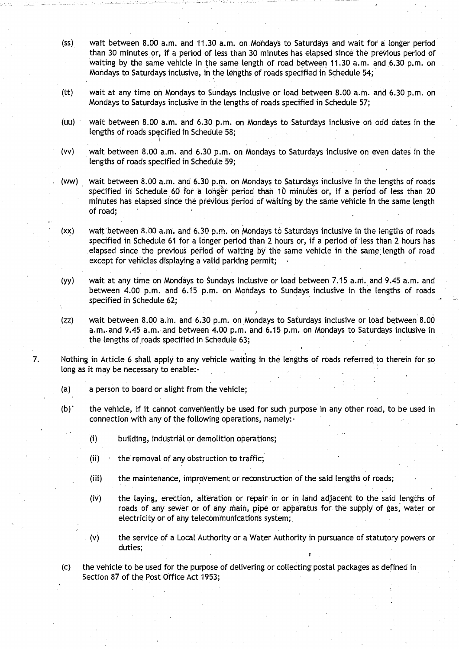- (ss) wait between 8.00 a.m. and 11 .30 a.m. on Mondays to Saturdays and wait for a longer period than 30 minutes or, if a period of less than 30 minutes has elapsed since the previous period of waiting by the same vehicle in the same length of road between 11.30 a.m. and 6.30 p.m. on Mondays to Saturdays inclusive, in the lengths of roads specified in Schedule 54;
- (tt) wait at any time on Mondays to Sundays inclusive or load between 8 .00 a .m. and 6.30 p.m. on Mondays to Saturdays inclusive in the lengths of roads specified in Schedule 57;
- (uu) wait between 8.00 a.m. and 6.30 p.m. on Mondays to Saturdays inclusive on odd dates in the lengths of roads specified in Schedule 58;
- (w) wait between 8 .00 a .m. and 6.30 p.m . on Mondays to Saturdays inclusive on even dates in the lengths of roads specified in Schedule 59;
- (ww) wait between 8.00 a.m. and 6 .30 p.m. on Mondays to Saturdays inclusive in the lengths of roads specified in Schedule 60 for a longer period than 10 minutes or, if a period of less than 20 minutes has elapsed since the previous period of waiting by the same vehicle in the same length of road;
- (xx) wait'between 8.00 a,m. and 6 .30 p.m. on Mondays to Saturd**ays inc**l**usive iii file** Lengths of roads specified in Schedule 61 for a longer period than 2 hours or, if a period of less than 2 hours has elapsed since the previous period of waiting by the same vehicle in the same length of road except for vehicles displaying a valid parking permit;
- (yy) wait at any time on Mondays to Sundays inclusive or load between 7 .15 a.m. and 9 .45 a .m . and between 4.00 p.m. and 6.15 p.m. on Mondays to Sundays inclusive in the lengths of roads specified in Schedule 62;
- (zz) wait between 8.00 a.m. and 6.30 p.m. on Mondays to Saturdays inclusive or load between 8.00 a.m. and 9.45 a.m. and between 4.00 p.m. and 6.15 p.m. on Mondays to Saturdays inclusive in the lengths of roads specified in Schedule 63;
- 7. Nothing in Article 6 shall apply to any vehicle waiting in the lengths of roads referred. to therein for so long as it may be necessary to enable:-
	- (a) a person to board or alight from the vehicle;
	- (b)' the vehicle, if it cannot conveniently be used for such purpose in any other road, to be used in connection with any of the following operations, namely:-
		- (i) building, industrial or demolition operations;
		- (ii) the removal of any obstruction to traffic;
		- (iii) the maintenance, improvement or reconstruction of the said lengths of roads;
		- (iv) the laying, erection, alteration or repair in or in land adjacent to the said lengths of roads of any sewer or of any main, pipe or apparatus for the supply of gas, water or electricity or of any telecommunications system;
		- (v) the service of a Local Authority or a Water Authority in pursuance of statutory powers or duties;

(c) the vehicle to be used for the purpose of delivering or collecting postal packages as defined in Section 87 of the Post Office Act 1953;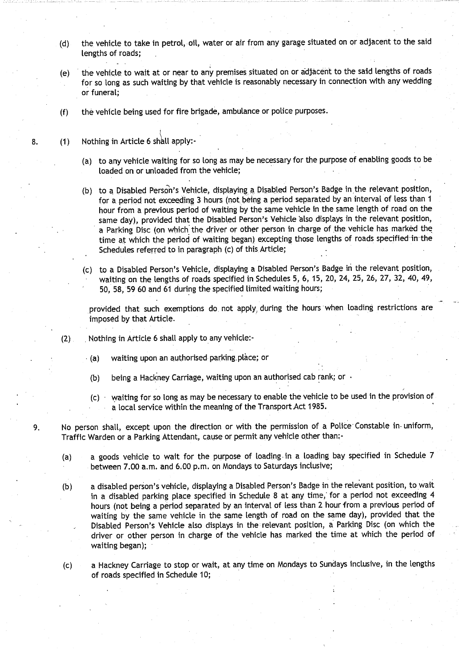- **(d) the vehicle to take in petrol**,- **oil, water or air from any garage situated on or adjacent to the said lengths of roads;**
- **(e) the vehicle to wait at or near to any premises situated on or adjacent to the said lengths of roads** for so long as such waiting by that vehicle is reasonably necessary in connection with any wedding **or funeral;**
- ( **f) the vehicle being used for fire brigade** , **ambulance or police purposes .**
- 8. (1) Nothing in Article 6 shall apply:-
	- **(a) to any vehicle waiting for so long as may be necessa** ry **for the purpose of enabling goods to be loaded on or unloaded from the vehicle;**
	- (b) to a Disabled Person's Vehicle, displaying a Disabled Person's Badge in the relevant position, for a period not exceeding 3 hours (not being a period separated by an interval of less than 1 **hour from a previous pe**ri**od of waiting by the same vehicle in the same length of road on the** same day), provided that the Disabled Person's Vehicle also displays in the relevant position, a Parking Disc (on which the driver or other person in charge of the vehicle has marked the time at which the period of waiting began) excepting those lengths of roads specified in the Schedules referred to in paragraph (c) of this Article;
	- (c) to a Disabled Person's Vehicle, displaying a Disabled Person's Badge in the relevant position, waiting on the lengths of roads specified in Schedules 5, 6, 15, 20, 24, 25, 26, 27, 32, 40, 49, **50, 58**, **59 60 and 61 during the specified limited**.**waiting hours;**

provided that such exemptions do, not apply, during the hours 'when loading restrictions are imposed by that Article .

- (2) Nothing in Article 6 shall apply to any vehicle:-
	- **(a) waiting upon an authorised parking .place; or**
	- **(b) being a Hackney Carriage** , **waiting upon an authorised cab rank ; or**
	- (c) waiting for so long as may be necessary to enable the vehicle to be used in the provision of a local service within the meaning of the Transport Act 1985 .

9. No person shall, except upon the direction or with the permission of a Police Constable in uniform, Traffic Warden or a Parking Attendant, cause or permit any vehicle other than:-

- (a) a goods vehicle to wait for the purpose of loading- in a loading bay specified in Schedule 7 between 7.00 a.m. and 6.00 p.m. on Mondays to Saturdays inclusive;
- (b) a disabled person's vehicle, displaying a Disabled Person's Badge in the relevant position, to wait in a disabled parking place specified in Schedule 8 at any time, for a period not exceeding 4 hours (not being a period separated by an interval of less than 2 hour from a previous period of waiting by the same vehicle in the same length of road on the same day), provided that the Disabled Person's Vehicle also displays in the relevant position, a Parking Disc (on which the driver or other person in charge of the vehicle has marked the time at which the period of **waiting began) ;**
- (c) a Hackney Carriage to stop or wait, at any time on Mondays to Sundays inclusive, in the lengths **of roads specified in Schedule 10 ;**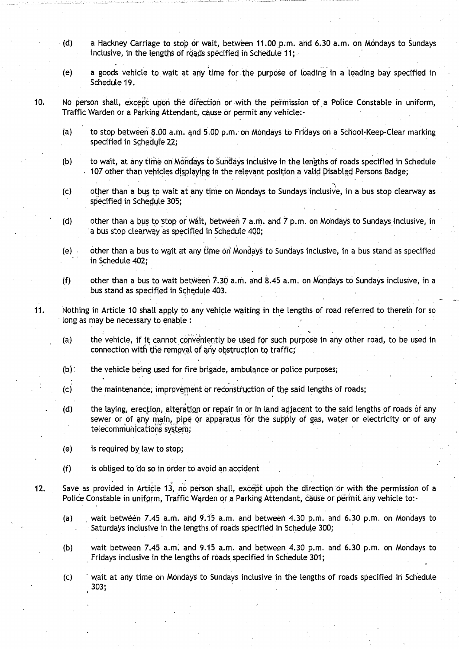- (d) a Hackney Carriage to stop or wait, between 11 .00 p.m . And 6.30 a.m. on Mondays to Sundays inclusive, in the lengths of roads specified in Schedule 11;
- (e) a goods vehicle to wait at any time for the purpose of loading in a loading bay specified in Schedule 19.
- 10. No person shall, except upon the direction or with the permission of a Police Constable in uniform, Traffic Warden or a Parking Attendant, cause or permit any vehicle:-
	- (a) to stop between 8 .pO a .m. and 5.00 p.m . on Mondays to Fridays on a School-Keep-Clear marking specified in Schedule 22;
	- (b) to wait, at any time on Mondays to Sundays inclusive in the lengths of roads specified in Schedule 107 other than vehicles displaying in the relevant position a valid Disabled Persons Badge;
	- (c) other than a bus to wait at any time on Mondays. to Sundays inclusive, in a bus stop clearway as specified in Schedule 305;
	- (d) other than a bus to stop or wait, between  $7$  a.m. and  $7$  p.m. on Mondays to Sundays inclusive, in a bus stop clearway as specified in Schedule 400;
	- (e) other than a bus to wait at any time on Mondays to Sundays inclusive, in a bus stand as specified in Schedule 402;
	- (f) other than a bus to wait between  $7.30$  a.m. and  $8.45$  a.m. on Mondays to Sundays inclusive, in a bus stand as specified in Schedule 403.
- 11. Nothing in Article 10 shall apply to any vehicle waiting in the lengths of road referred to therein for so long as may be necessary to enable :
	- (a) the vehicle, if it cannot conveniently be used for such purpose in any other road, to be used in connection with the removal of any obstruction to traffic;
	- $(b)$  the vehicle being used for fire brigade, ambulance or police purposes;
	- (c) the maintenance; improvement or reconstruction of the said lengths of roads;
	- (d) the laying, erection, alteration or repair in or in land adjacent to the said lengths of roads of any sewer or of any main, pipe or apparatus for the supply of gas, water or electricity or of any telecommunications system;
	- (e) is required by law to stop;
	- $(f)$  is obliged to  $do$  so in order to avoid an accident
- 12. Save as provided in Article 13, no person shall, except upon the direction or with the permission of a Police Constable in uniform, Traffic Warden or a Parking Attendant, cause or permit any vehicle to:-
	- (a) wait between 7.45 a.m. and  $9.15$  a.m. and between 4.30 p.m. and 6.30 p.m. on Mondays to Saturdays inclusive in the lengths of roads specified in Schedule 300;
	- (b) wait between 7.45 a.m. and 9.15 a.m. and between 4.30 p.m . and 6.30 p.m. on Mondays to Fridays inclusive in the lengths of roads specified in Schedule 301;
	- (c) wait at any time on Mondays to Sundays inclusive in the lengths of roads specified in Schedule 303 ;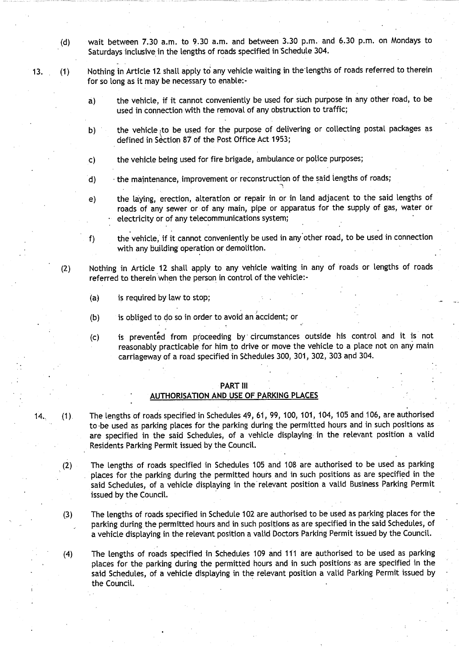- **(d) wait between 7**. **30 a.m. to 9 .30 a .m. and between 3**.**30 p.m. and 6.30 p .m . on Mondays to** Saturdays inclusive in the lengths of roads specified in Schedule 304.
- 13. **(1)** Nothing in Article 12 shall apply to any vehicle waiting in the lengths of roads referred to therein for so long as it may be necessary to enable:
	- **a) the vehicle**, **if it cannot conveniently be used for such purpose in any other road, to be used in connection with the removal of any obstruction to traffic;**
	- **b) ' the vehicle** to **be used for the purpose of delivering or collecting postal packages as** defined in Section 87 of the Post Office Act 1953;
	- **c) the vehicle being used for fire b**ri**gade** , **ambulance or police purposes ;**
	- **d) the maintenance**, **improvement or reconstruction of the said lengths of roads ;**
	- e) the laying, erection, alteration or repair in or in land adjacent to the said lengths of **roads of any sewer or of any main, pipe or apparatus for the supply of gas** , **water or electricity or of any telecommunications system . ;**

f) the vehicle, if it cannot conveniently be used in any other road, to be used in connection **with any building operation or demolition .**

- (2) Nothing in Article 12 shall apply to any vehicle waiting in any of roads or lengths of roads referred to therein when the person in control of the vehicle:-
	- (a) is required by law to stop;
	- (b) is obliged to do so in order to avoid an accident; or
	- **(c) is prevented from proceeding by, circumstances outside his control and it is not reasonably practicable for him to drive or move the vehicle to a place not on any main carriageway of a road specified in Schedules 300, 301** , **302, 303 and 304.**

#### PART III

#### **AUTHORISATION AND USE OF PARKING PLACES**

- 14. (1). The lengths of roads specified in Schedules 49, 61, 99, 100, 101, 104, 105 and 106, are authorised **to** -be **used as parking places for the parking during the permitted hours and in such positions as** are specified in the said Schedules, of a vehicle displaying in the relevant position a valid **Residents Parking Permit issued by the Council .**
	- **(2) The lengths of roads specified in Schedules 105 and 108 are authorised to be used as parking places for the parking during the permitted hours and in such positions as are specified in the said Schedules**, **of a vehicle displaying in the relevant position a valid Business Parking Permit** issued by the Council.
	- (3) The lengths of roads specified in Schedule 102 are authorised to be used as parking places for the **parking during the permitted hours and in such positions as are specified in the said Schedules, of a vehicle displaying in the relevant position a valid Doctors Parking Permit issued by the Council.**
	- **(4) The lengths of roads specified in Schedules 109 and 111 are authorised to be used as parking places for the parking during the permitted hours and in such positions-as are specified in the said Schedules**, **of a vehicle displaying in the relevant position a valid Parking Permit issued by** the Council.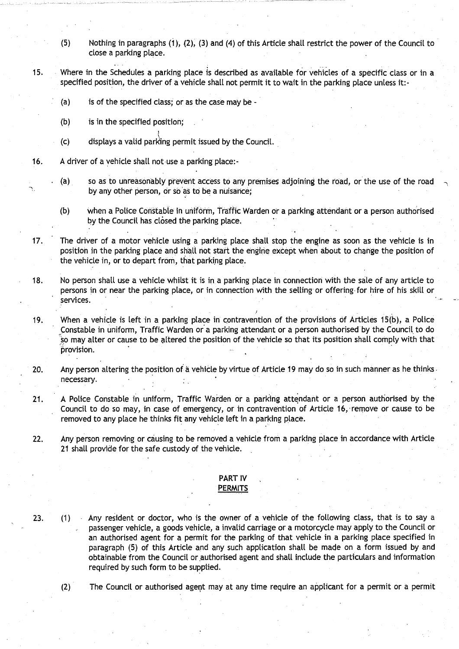- **(5) Nothing in paragraphs** (**1), (2), (3) and** (**4) of this Article shall restrict the power of the Council to close a parking place .**
- 15. Where in the Schedules a parking place is described as available for vehicles of a specific class or in a specified position, the driver of a vehicle shall not permit it to wait in the parking place unless it:-
	- **(a) is of the specified class; or as the case may be -**
	- **(b) is in the specified position;**
	- (c) displays a valid parking permit issued by the Council.
- **16. A driver of a vehicle shall not use a parking place:-**
	- **(a) so as to unreasonably prevent access to any premises adjoining the road, or the use of the road by any other person**, **or so as to be a nuisance ;**
	- **(b) when a Police Constable in uniform, Traffic Warden or a parking attendant or a person authorised by the Council has closed the parking place .**
- 17. The driver **of a motor vehicle using a parking place shall stop the engine as soon as the vehicle is in position** i**n the parking place and shall not start the engine except when about to change the position of the vehicle in, or to depart from, that parking place .**
- **18 . No person shall use a vehicle whilst it is** in a **parking place in connection with the sale of any article to persons in or near the parking place**, **or in connection with the selling or offering-for hire of his skill or services.**
- 19. When a vehicle is left in a parking place in contravention of the provisions of Articles 15(b), a Police **Constable in uniform, Traffic Warden or a parking attendant or a person authorised by the Council . to do so may alter or cause to be altered the position of the vehicle so that its position shall comply with that provision.**
- **20. Any person altering the position of a vehicle by virtue of Article 19 may do so in such manner as he thinks . necessa**ry**.**
- **<sup>21</sup> . A Police Constable in uniform, Traffic Warden or a parking attendant or a person authorised by the** Council to do so may, in case of emergency, or in contravention of Article 16, remove or cause to be **removed to any place he thinks fit any vehicle left in a parking place.**
- **22. Any person removing or causing to be removed a vehicle from a parking place in accordance with Article 21 shall provide for the safe custody of the vehicle .**

#### **PART IV PERMITS**

**23 . (1) Any resident or doctor** , **who is the owner of a vehicle of the following class, that is to say a passenger vehicle, a goods vehicle, a invalid carriage or a motorcycle may apply to the Council or an authorised agent for a permit for the parking of that vehicle in a parking place specified in paragraph** (**5) of this Article and any such application shall be made on a form issued by and** obtainable **from the Council or authorised agent and shall include the particulars and information required by such form to be supplied .**

**(2) The Council or authorised agent may at any time require an applicant for a permit or a permit**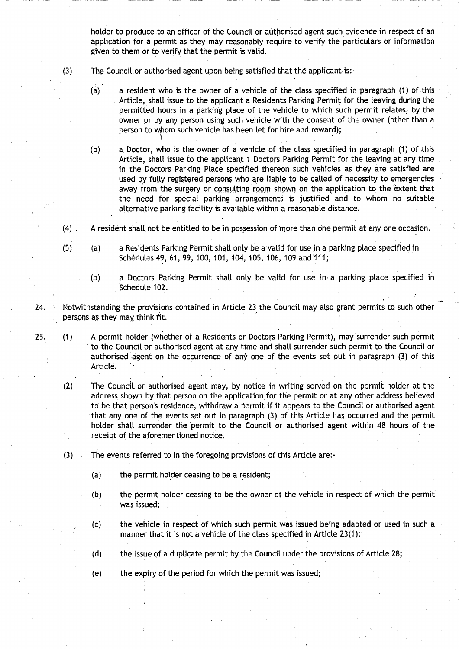**holder to produce to an officer of the Council or authorised agent such evidence in respect of an application for a permit as they may reasonably require to verify the particulars or information** given to them or to verify that the permit is valid.

- **(3) The Council or authorised agent upon being satisfied that the** applicant is:-
	- (a) **a resident who is the owner of a vehicle of the class specified in paragraph** (**1) of** this **Article, shall issue to the applicant a Residents Parking Permit for the leaving during the permitted hours in a parking place of the vehicle to which such permit relates, by the owner or by any person using such vehicle with the consent of the owner (other than a** person to whom such vehicle has been let for hire and reward)**;**<br>
	- **(b) a. Doctor**, **who is the owner of a vehicle of the class specified in paragraph** (**1) of** this **Article, shalt issue to the applicant 1 Doctors Parking Permit for the leaving at any time in the Doctors Parking Place specified thereon such vehicles as they are satisfied are used by fully registered persons who are liable to be called of**, **necessity to emergencies away from the surge**ry **or consulting room shown on the application to the extent that the need for special parking arrangements is justified and to whom no suitable alternative parking facility is available within a reasonable distance .**
- (**4) A resident shall. not be entitled to be in possession of more than one permit at any one occasion .**
- **(5) (a) a Residents Parking Permit shall only be a-valid for use in a parking place specified in Schedules 49, 61, 99** , **100, 101, 104**, **105, 106, 109 and'111 ;**
	- **(b) a Doctors Parking Permit shall only be valid for use in a parking place specified in** Schedule 102.
- **24. Notwithstanding the provisions contained in Article 23, the Council may also grant permits to such other persons as** they may think fit .
- 25. (1) A permit holder (whether of a Residents or Doctors Parking Permit), may surrender such permit **to the Council** or **authorised agent at any time and shall surrender such permit to the Council or authorised agent on the occurrence of any one of the events set out in paragraph** (**3) of this** Article.
	- **(2)** The **Council**, **or authorised agent may**, **by notice in writing served on the permit holder at the address shown by that person on the application**. **for the permit or at any other address believed to be that person**'**s residence**, **withdraw a permit if it appears to the Council or authorised agent** that any one of the events set out in paragraph (3) of this Article has occurred and the permit **holder shall surrender the permit to the Council or authorised agent within 48 hours of the** receipt of the aforementioned notice.
	- (3) The events referred to in the foregoing provisions of this Article are:-
		- **(a) the permit holder ceasing to be a resident ;**
		- (b) the permit holder **ceasing to** be the owner of the vehicle in respect of which the permit **was issued ;**
		- **(c) the vehicle in respect of which such permit was issued being adapted or used in such a** manner that it is not a vehicle of the class specified in Article  $23(1)$ ;
		- (d) the issue of a duplicate permit by the Council under the provisions of Article 28;
		- (e) the expiry of the period for which the permit was issued;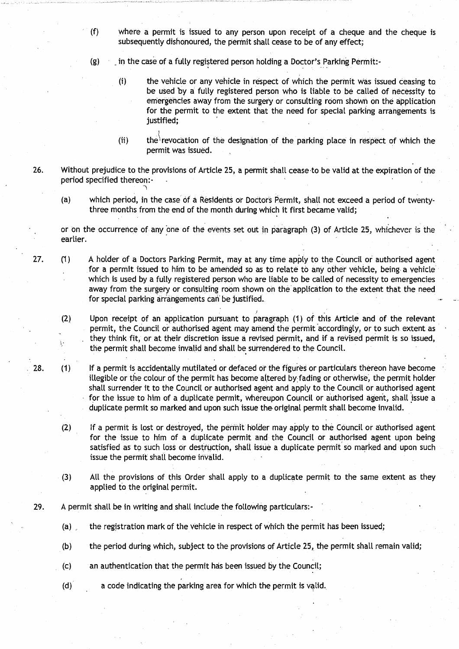- **(f) where a permit is issued to any person upon receipt of a cheque and the cheque is subsequently dishonoured, the permit shalt cease to be of any effect ;**
- **(g) \_ in the case of a fully registered person holding a Doctor's Parking Permit :-**
	- **(i) the vehicle or any vehicle in respect of which the permit was issued ceasing to be used by a fully registered person who is liable to be called of necessity to emergencies away from the surge**ry **or consulting room shown on the application for the permit to the extent that the need for special parking arrangements is justified ;**
	- (ii) the revocation of the designation of the parking place in respect of which the **permit was issued .**
- 26. Without prejudice to the provisions of Article 25, a permit shall cease to be valid at the expiration of the **period specified thereon :-**
	- **(a) which period**, **in the case of a Residents or Doctors Permit, shall not exceed a period of twentythree months from the end of the month during which it first became valid ;**

**or on the occurrence of any one of the events set out in paragraph** (3) of Articl<sup>e</sup> 25, whichever is the **earlier.**

- **27. (**<sup>1</sup> **) A holder of a Doctors Parking Permit, may at any time apply to the Council or authorised agent** for a permit issued to him to be amended so as to relate to any other vehicle, being a vehicle **which is used by a fully registered person who are liable to be called of necessity to emergencies** away **from the surge**ry **or consulting room shown on the application to the extent that the need** for special parking arrangements can be justified.
	- **(2) Upon receipt of an application pursuant to paragraph** ( **1) of this Article and of the relevant permit, the Council or authorised agent may amend the permit accordingly, or to such extent as they think fit, or at their discretion issue a revised permit, and if a revised permit is so issued, the permit shall become invalid and shall be surrendered to the Council .**

**28. (1) If a permit is accidentally mutilated or defaced or the figures or particulars thereon have become illegible or the colour of the permit has become altered** by-fading **or otherwise**, **the permit holder** shall surrender it to the Council or authorised agent and apply to the Council or authorised agent **for the issue to him of a duplicate permit, whereupon Council or authorised agent, shall issue a duplicate permit so marked and upon such issue** the **o**ri**ginal permit shall become invalid .**

- **(2) If a permit is lost or destroyed**, **the permit holder may apply to the Council or authorised agent for the issue to him of a duplicate permit and the Council or authorised agent upon being satisfied as to such loss or destruction** , **shalt issue a duplicate** permit **so marked and upon such issue the permit shall become invalid.**
- **(3) All the provisions of this Order shall apply to a duplicate permit to the same extent as they applied to the original permit .**
- **29. A permit shall be in writing and shall include the following particulars:-**
	- (a) the registration mark of the vehicle in respect of which the permit has been issued;
	- **(b) the period during which, subject to the provisions of Article 25, the permit shall remain valid ;**
	- **(c) an authentication that the permit has been issued by the Council ;**
	- **(d) a code indicating the parking area for which the permit is valid ..**

Ņ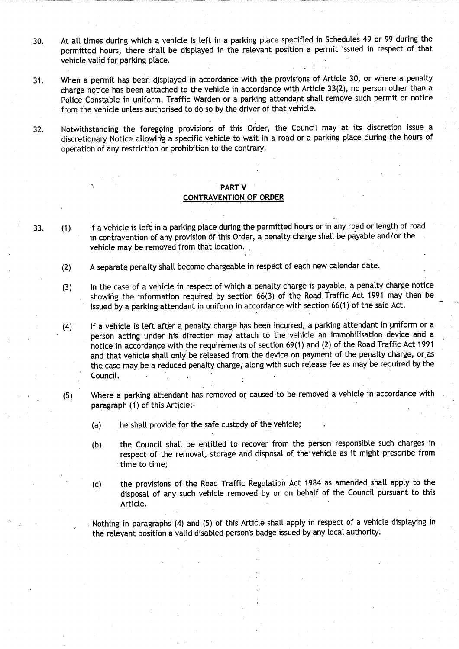- **30. At all times during which a vehicle**, **is left in a parking place specified in Schedules 49 or 99 during the permitted hours, there shall be displayed in the relevant position a permit issued in respect of that** vehicle valid **for** parking place.
- 31 . When a permit has been displayed in accordance with the provisions of Article 30, or where a penalty charge notice has been attached to the vehicle in accordance with Article 33(2), no person other than a Police Constable in uniform, Traffic Warden or a parking attendant shall remove such permit or notice from the vehicle **unless authorised** to do so by the driver of that vehicle .
- <sup>32</sup> . Notwithstanding the foregping provisions of this Order, the Council may at its discretion issue a **discretiona**ry **Notice allowing a specific vehicle to wait in** a **road or a parking place during the hours of** operation of any restriction or prohibition to the contrary.

## PART V **CONTRAVENTION OF ORDER**

- 33. (1) If a vehicle is left in a parking place during the permitted hours or in any road or length of road in contravention of any provision of this Order, a penalty charge shall be payable and/or the vehicle may be removed from that location .
	- (2) A separate penalty shall become chargeable in respect of each new calendar date.
	- **(3) In the case of a vehicle in respect of which a penalty charge is payable, a penalty charge notice** showing the information required by section 66(3) of the Road Traffic Act 1991 may then be issued by a parking attendant in uniform in accordance with section 66(1) of the said Act .
	- **(4) If a vehicle is left after a penalty charge has been incurred** ,, **a parking attendant in uniform or a person acting under his direction may attach to the vehicle an immobilisation device and a** notice in accordance with the requirements of section 69(1) and (2) of the Road Traffic Act 1991 and that vehicle shall only be released from the device on payment of the penalty charge, or as the case may be a reduced penalty charge, along with such release fee as may be required by the Council.
	- (5) Where a parking attendant has removed or caused to be removed a vehicle in accordance with **paragraph** (1) of this Article:-
		- (a) he shall provide for the safe custody of the vehicle;
		- **(b)** the Council shall be entitled to recover from the person responsible such charges in respect of the removal, storage and disposal of the vehicle as it might prescribe from **time to time ;**
		- (c) the provisions of the Road Traffic Regulation Act 1984 as amended, shall apply to the disposal of any such vehicle removed by or on behalf of the Council pursuant to this Article.

Nothing in paragraphs (4) and (5) of this Article shall apply in respect of a vehicle displaying in the relevant position a valid disabled person's badge issued by any local authority .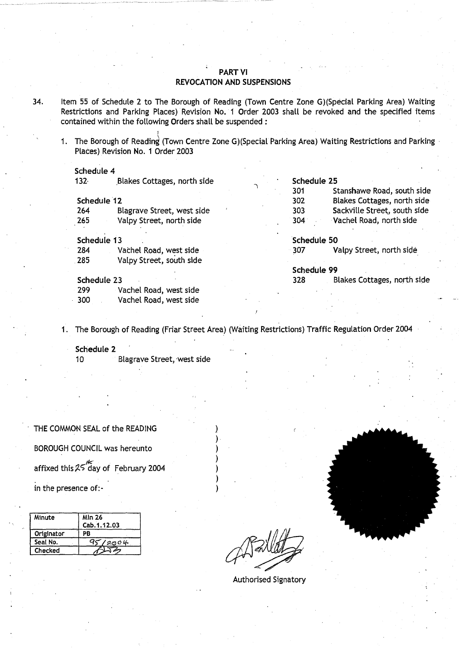## PART VI **REVOCATION AND SUSPENSIONS**

- 34. Item 55 of Schedule 2 to The Borough of Reading (Town Centre Zone G)(Special Parking Area) Waiting Restrictions and Parking Places) Revision No. 1 Order 2003 shall be revoked and the specified items contained within the following Orders shall be suspended :
	- 1. The Borough of Reading (Town Centre Zone G)(Special Parking Area) Waiting Restrictions and Parking Places) Revision No. 1 Order 2003

#### Schedule 4

| 132 <sub>1</sub> | Blakes Cottages, north side |  | Schedule 25 |                              |
|------------------|-----------------------------|--|-------------|------------------------------|
|                  |                             |  | 301         | Stanshawe Road, south side   |
| Schedule 12      |                             |  | 302         | Blakes Cottages, north side  |
| 264              | Blagrave Street, west side  |  | 303         | Sackville Street, south side |
| 265              | Valpy Street, north side    |  | 304         | Vachel Road, north side      |
| Schedule 13      |                             |  | Schedule 50 |                              |
| 284              | Vachel Road, west side      |  | - 307       | Valpy Street, north side     |
| 285              | Valpy Street, south side    |  |             |                              |
|                  |                             |  | Schedule 99 |                              |
| Schedule 23      |                             |  | 328         | Blakes Cottages, north side  |
| 299              | Vachel Road, west side      |  |             |                              |
| 300              | Vachel Road, west side      |  |             |                              |

<sup>1</sup> . The Borough of Reading (Friar Street Area) (Waiting Restrictions) Traffic Regulation Order 2004

Schedule 2 10 Blagrave Street, west side

THE COMMON SEAL of the READING BOROUGH COUNCIL was hereunto affixed this  $25^{16}$  day of February 2004 in the presence of:-

| Minute     | <b>Min 26</b> |    |
|------------|---------------|----|
|            | Cab. 1.12.03  |    |
| Originator | PB            |    |
| Seal No.   | 2004          |    |
| Checked    |               | eN |

Authorised Signatory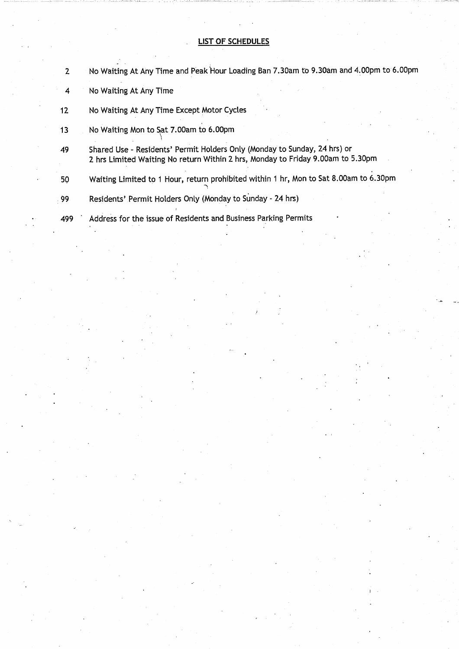# **LIST OF SCHEDULES**

| $\mathbf{2}$    | No Waiting At Any Time and Peak Hour Loading Ban 7.30am to 9.30am and 4.00pm to 6.00pm                                                                       |
|-----------------|--------------------------------------------------------------------------------------------------------------------------------------------------------------|
| 4               | No Waiting At Any Time                                                                                                                                       |
| 12 <sub>2</sub> | No Waiting At Any Time Except Motor Cycles                                                                                                                   |
| 13              | No Waiting Mon to Sat 7.00am to 6.00pm                                                                                                                       |
| 49              | Shared Use - Residents' Permit Holders Only (Monday to Sunday, 24 hrs) or<br>2 hrs Limited Waiting No return Within 2 hrs, Monday to Friday 9.00am to 5.30pm |
| 50              | Waiting Limited to 1 Hour, return prohibited within 1 hr, Mon to Sat 8.00am to 6.30pm                                                                        |
| 99.             | Residents' Permit Holders Only (Monday to Sunday - 24 hrs)                                                                                                   |
| 499             | Address for the issue of Residents and Business Parking Permits                                                                                              |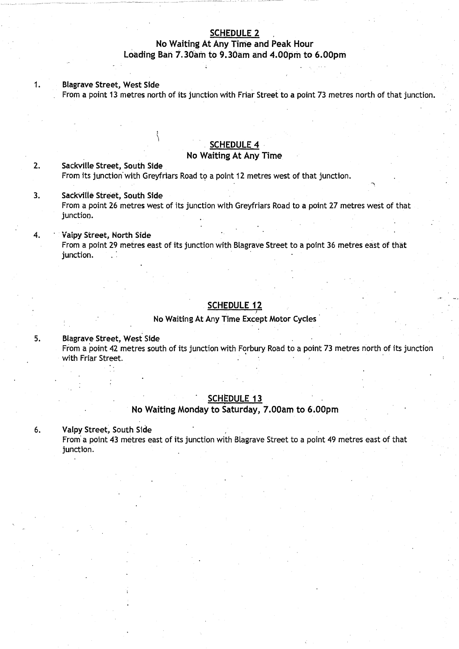# **SCHEDULE 2**

# **No Waiting** At Any Time **and Peak Hour Loading Ban 7**. **30am to 9**. **30am and 4.00pm to 6.00pm**

#### **Blagrave Street**, **West Side** 1.

From a point 13 metres north of its junction with Friar Street to a point 73 metres north of that junction.

## SCHEDULE 4

# **No Waiting** At Any Time

# **2. Sackville Street**, **South Side** From its junction'with Greyfriars Road to a point 12 metres west of that junction .

#### **<sup>3</sup> .** SackV!tle% **Street**, **South Side** From a point 26 metres west of its junction with Greyfriars Road to a point 27 metres west of that junction.

#### 4. vaipy Stree**t, North Side** From a point 29 metres **east** of its junction with Btagrave Street to a point 36 metres east of that junction.

## **SCHEDULE 12**

**No Waiting** At Any Time **Except Motor** Cycles

**5. Blagrave Street**, **West Side** From a point 42 metres south of its junction with Forbury. Road to a point 73 metres north of its junction with Friar Street.

## **SCHEDULE 1 3**

#### **No Waiting** Monday to **Saturday**, **7.00am to 6.00pm**

<sup>6</sup> . Valpy Street, **South Side**

From a point 43 metres east of its junction with Blagrave Street to a point 49 metres east of that junction.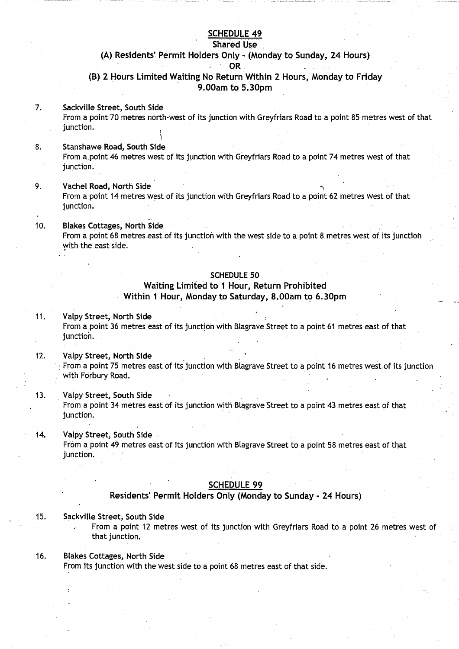# SCHEDULE 49

#### **Shared Use**

#### (A) Residents' **Permit Holders** Only - (Monday to Sunday, 24 Hours) OR ÷.

(B) 2 Hours Limited Waiting **No Return** Within 2 Hours, Monday to Frida y 9.OOam to 5 .30pm

#### 7. Sackville Street, **South Side**

From a point 70 metres north-west of its junction with Greyfriars Road to a point 85 metres west of that junction.

# **8. Stanshawe Road**, **South Side**

From a .point 46 metres west of its junction with Greyfriars Road to a point 74 metres west of that junction.

# <sup>9</sup> . Vachel **Road**, North Side

From a point 14 metres west of its junction with Greyfriars Road to a point 62 metres west of that junction.

#### **10. Blakes Cottages**, North Side From a point 68 metres east of its junction with the west side to a point 8 metres west of its junction with the east side.

## SCHEDULE 50

# Waiting Limited **to 1 Hour** , **Return**\_ Prohibited Within **1 Hour,** Monday to Saturday**, 8 .00am to 6 .30pm**

#### <sup>11</sup> . Valpy Street, North Side

From a point 36 metres east of its junction with Blagrave Street to a point 61 metres east of that junction.

#### 12. Valpy Street, North Side

From a point 75 metres east of its junction with Blagrave Street to a point 16 metres west of its junction with Forbury Road.

#### 13. Valpy Street, **South Side**

From a point 34 metres east of its junction with Blagrave Street to a point 43 metres east of that junction.

#### 14. Valpy Street, **South Side**

From a point 49 metres east of its junction with Blagrave Street to a point 58 metres east of that junction.

#### **SCHEDULE 99**

# **Residents**' Permit Holders Only (Monday to Sunday - 24 Hours)

#### <sup>15</sup> . Sackville Street, **South Side**

From a point 12 metres west of its junction with Greyfriars Road to a point 26 metres west of that junction.

#### **<sup>16</sup> . Blakes Cottages**, North Side

From its junction with the west side to a point 68 metres east of that side.